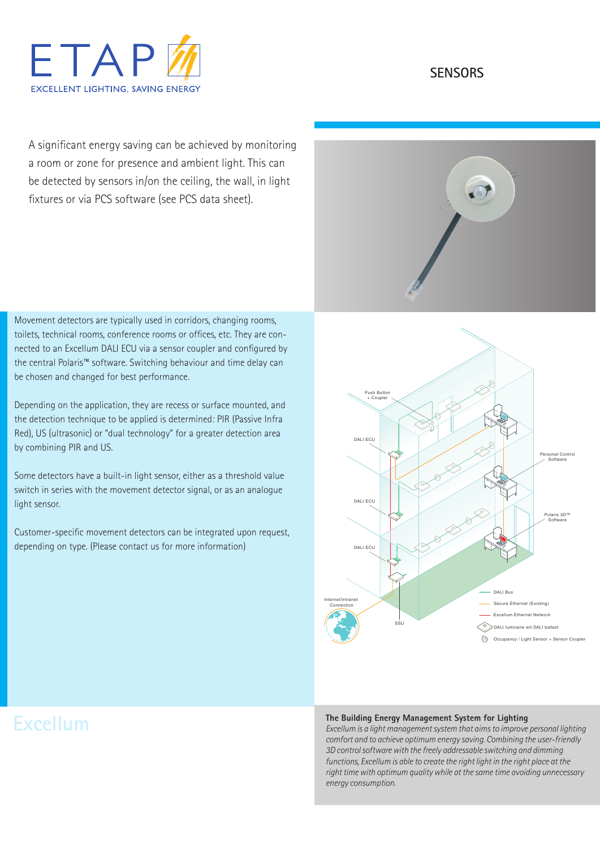

# **SENSORS**

A significant energy saving can be achieved by monitoring a room or zone for presence and ambient light. This can be detected by sensors in/on the ceiling, the wall, in light fixtures or via PCS software (see PCS data sheet).

Movement detectors are typically used in corridors, changing rooms, toilets, technical rooms, conference rooms or offices, etc. They are connected to an Excellum DALI ECU via a sensor coupler and configured by the central Polaris™ software. Switching behaviour and time delay can be chosen and changed for best performance.

Depending on the application, they are recess or surface mounted, and the detection technique to be applied is determined: PIR (Passive Infra Red), US (ultrasonic) or "dual technology" for a greater detection area by combining PIR and US.

Some detectors have a built-in light sensor, either as a threshold value switch in series with the movement detector signal, or as an analogue light sensor.

Customer-specific movement detectors can be integrated upon request, depending on type. (Please contact us for more information)





#### **The Building Energy Management System for Lighting**

*Excellum is a light management system that aims to improve personal lighting comfort and to achieve optimum energy saving. Combining the user-friendly 3D control software with the freely addressable switching and dimming functions, Excellum is able to create the right light in the right place at the right time with optimum quality while at the same time avoiding unnecessary energy consumption.*

# **Excellum**